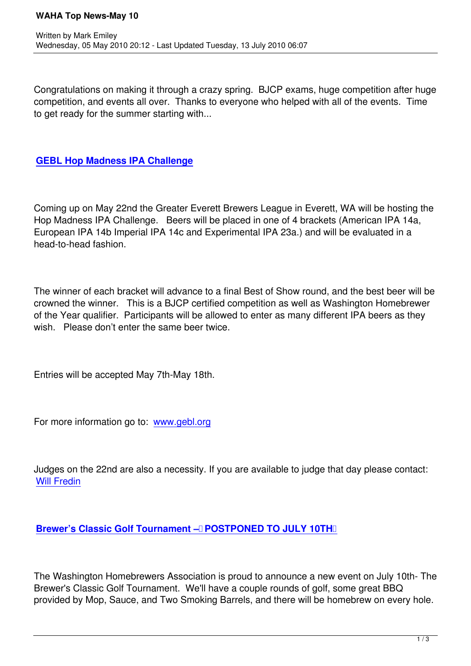Congratulations on making it through a crazy spring. BJCP exams, huge competition after huge competition, and events all over. Thanks to everyone who helped with all of the events. Time to get ready for the summer starting with...

## **GEBL Hop Madness IPA Challenge**

[Coming up on May 22nd the Greater E](http://www.gebl.org)verett Brewers League in Everett, WA will be hosting the Hop Madness IPA Challenge. Beers will be placed in one of 4 brackets (American IPA 14a, European IPA 14b Imperial IPA 14c and Experimental IPA 23a.) and will be evaluated in a head-to-head fashion.

The winner of each bracket will advance to a final Best of Show round, and the best beer will be crowned the winner. This is a BJCP certified competition as well as Washington Homebrewer of the Year qualifier. Participants will be allowed to enter as many different IPA beers as they wish. Please don't enter the same beer twice.

Entries will be accepted May 7th-May 18th.

For more information go to: www.gebl.org

Judges on the 22nd are als[o a necessity. I](http://www.gebl.org/)f you are available to judge that day please contact: Will Fredin

## **[Brewer's C](index.php?option=com_contact&view=contact&catid=43&id=54-will-fredin)lassic Golf Tournament – POSTPONED TO JULY 10TH**

[The Washington Homebrewers Association is proud to announce a new e](http://www.brewersclassic.com)vent on July 10th- The Brewer's Classic Golf Tournament. We'll have a couple rounds of golf, some great BBQ provided by Mop, Sauce, and Two Smoking Barrels, and there will be homebrew on every hole.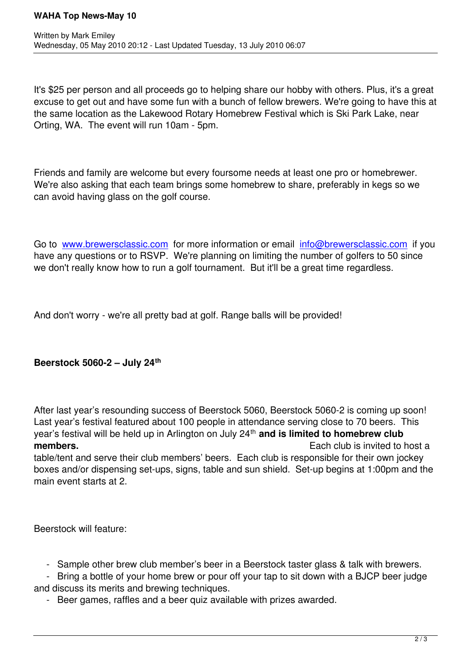It's \$25 per person and all proceeds go to helping share our hobby with others. Plus, it's a great excuse to get out and have some fun with a bunch of fellow brewers. We're going to have this at the same location as the Lakewood Rotary Homebrew Festival which is Ski Park Lake, near Orting, WA. The event will run 10am - 5pm.

Friends and family are welcome but every foursome needs at least one pro or homebrewer. We're also asking that each team brings some homebrew to share, preferably in kegs so we can avoid having glass on the golf course.

Go to www.brewersclassic.com for more information or email info@brewersclassic.com if you have any questions or to RSVP. We're planning on limiting the number of golfers to 50 since we don't really know how to run a golf tournament. But it'll be a great time regardless.

And don't worry - we're all pretty bad at golf. Range balls will be provided!

## **Beerstock 5060-2 – July 24th**

After last year's resounding success of Beerstock 5060, Beerstock 5060-2 is coming up soon! Last year's festival featured about 100 people in attendance serving close to 70 beers. This year's festival will be held up in Arlington on July 24<sup>th</sup> and is limited to homebrew club **members. Each club is invited to host a Each club** is invited to host a table/tent and serve their club members' beers. Each club is responsible for their own jockey

boxes and/or dispensing set-ups, signs, table and sun shield. Set-up begins at 1:00pm and the main event starts at 2.

Beerstock will feature:

- Sample other brew club member's beer in a Beerstock taster glass & talk with brewers.

 - Bring a bottle of your home brew or pour off your tap to sit down with a BJCP beer judge and discuss its merits and brewing techniques.

- Beer games, raffles and a beer quiz available with prizes awarded.